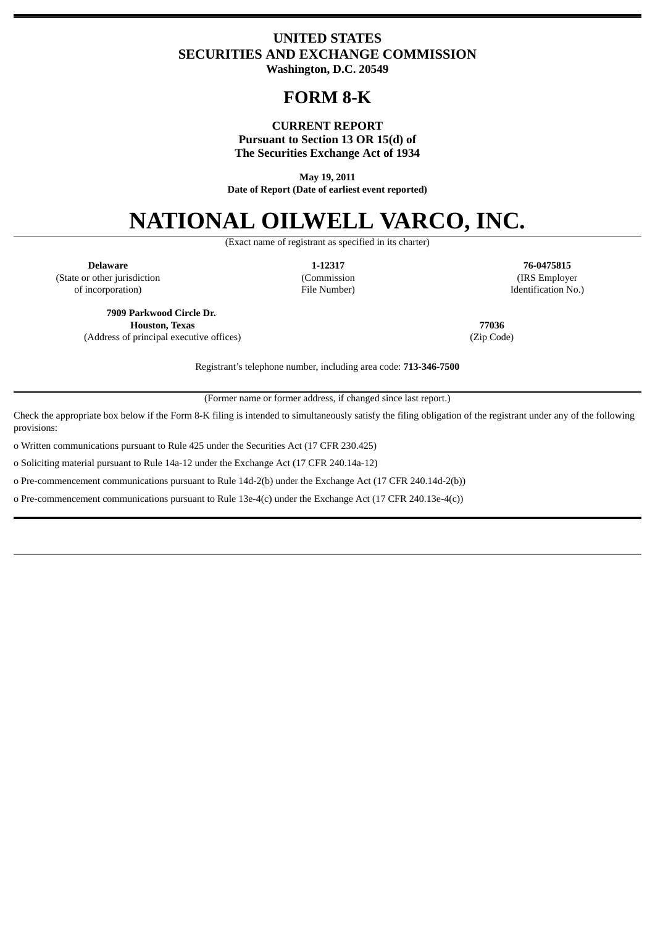# **UNITED STATES SECURITIES AND EXCHANGE COMMISSION Washington, D.C. 20549**

# **FORM 8-K**

### **CURRENT REPORT Pursuant to Section 13 OR 15(d) of The Securities Exchange Act of 1934**

**May 19, 2011 Date of Report (Date of earliest event reported)**

# **NATIONAL OILWELL VARCO, INC.**

(Exact name of registrant as specified in its charter)

(State or other jurisdiction (Commission (IRS Employer

**Delaware 1-12317 76-0475815** of incorporation) File Number) Identification No.)

**7909 Parkwood Circle Dr. Houston, Texas 77036** (Address of principal executive offices) (Zip Code)

Registrant's telephone number, including area code: **713-346-7500**

(Former name or former address, if changed since last report.)

Check the appropriate box below if the Form 8-K filing is intended to simultaneously satisfy the filing obligation of the registrant under any of the following provisions:

o Written communications pursuant to Rule 425 under the Securities Act (17 CFR 230.425)

o Soliciting material pursuant to Rule 14a-12 under the Exchange Act (17 CFR 240.14a-12)

o Pre-commencement communications pursuant to Rule 14d-2(b) under the Exchange Act (17 CFR 240.14d-2(b))

o Pre-commencement communications pursuant to Rule 13e-4(c) under the Exchange Act (17 CFR 240.13e-4(c))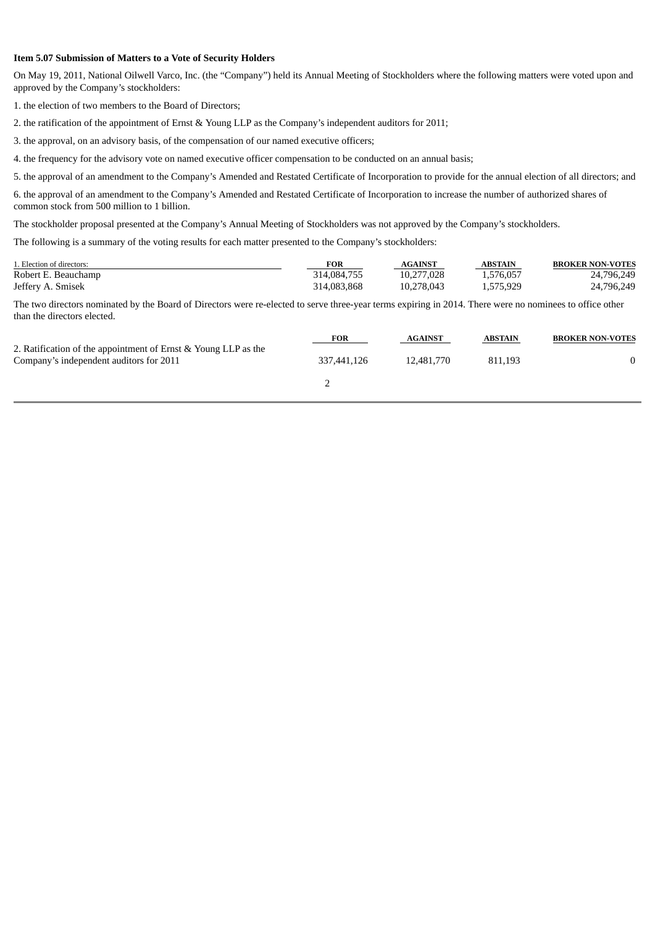#### **Item 5.07 Submission of Matters to a Vote of Security Holders**

On May 19, 2011, National Oilwell Varco, Inc. (the "Company") held its Annual Meeting of Stockholders where the following matters were voted upon and approved by the Company's stockholders:

1. the election of two members to the Board of Directors;

2. the ratification of the appointment of Ernst & Young LLP as the Company's independent auditors for 2011;

3. the approval, on an advisory basis, of the compensation of our named executive officers;

4. the frequency for the advisory vote on named executive officer compensation to be conducted on an annual basis;

5. the approval of an amendment to the Company's Amended and Restated Certificate of Incorporation to provide for the annual election of all directors; and

6. the approval of an amendment to the Company's Amended and Restated Certificate of Incorporation to increase the number of authorized shares of common stock from 500 million to 1 billion.

The stockholder proposal presented at the Company's Annual Meeting of Stockholders was not approved by the Company's stockholders.

The following is a summary of the voting results for each matter presented to the Company's stockholders:

| 1. Election of directors: | <b>FOR</b>  | AGAINST    | <b>ABSTAIN</b> | <b>BROKER NON-VOTES</b> |
|---------------------------|-------------|------------|----------------|-------------------------|
| Robert E. Beauchamp       | 314.084.755 | 10.277.028 | 1.576.057      | 24,796,249              |
| Jeffery A. Smisek         | 314,083,868 | 10.278.043 | 1.575.929      | 24,796,249              |

The two directors nominated by the Board of Directors were re-elected to serve three-year terms expiring in 2014. There were no nominees to office other than the directors elected.

| <b>FOR</b>  | <b>AGAINST</b> | <b>ABSTAIN</b> | <b>BROKER NON-VOTES</b> |
|-------------|----------------|----------------|-------------------------|
| 337,441,126 | 12,481,770     | 811.193        |                         |
|             |                |                |                         |
|             |                |                |                         |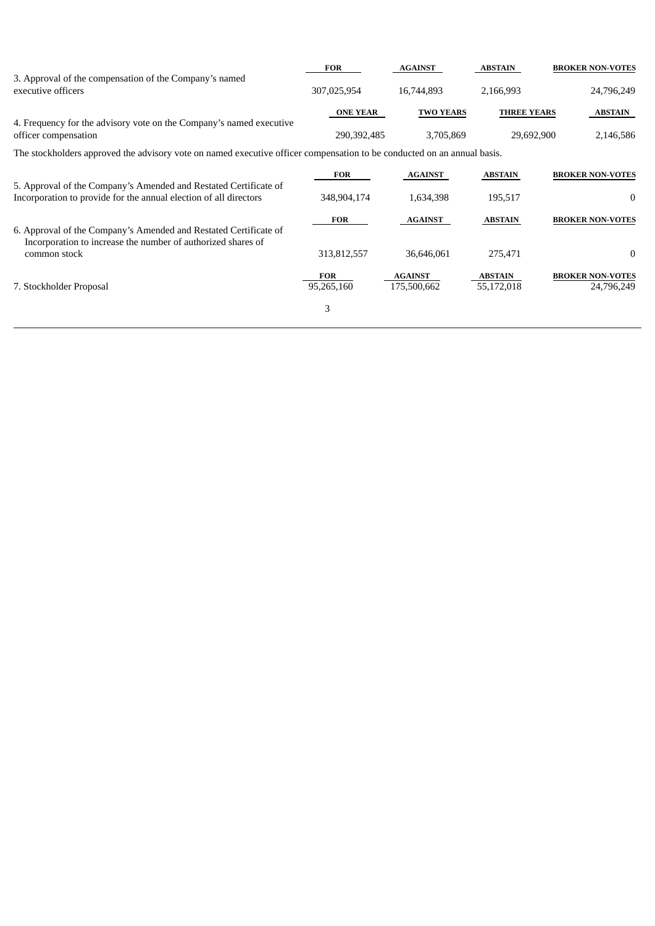|                                                                                                                                                  | <b>FOR</b>               | <b>AGAINST</b>                | <b>ABSTAIN</b>               | <b>BROKER NON-VOTES</b>               |  |
|--------------------------------------------------------------------------------------------------------------------------------------------------|--------------------------|-------------------------------|------------------------------|---------------------------------------|--|
| 3. Approval of the compensation of the Company's named<br>executive officers                                                                     | 307,025,954              | 16,744,893                    | 2,166,993                    | 24,796,249                            |  |
|                                                                                                                                                  | <b>ONE YEAR</b>          | <b>TWO YEARS</b>              | <b>THREE YEARS</b>           | <b>ABSTAIN</b>                        |  |
| 4. Frequency for the advisory vote on the Company's named executive<br>officer compensation                                                      | 290,392,485              | 3,705,869                     | 29,692,900                   | 2,146,586                             |  |
| The stockholders approved the advisory vote on named executive officer compensation to be conducted on an annual basis.                          |                          |                               |                              |                                       |  |
|                                                                                                                                                  | <b>FOR</b>               | <b>AGAINST</b>                | <b>ABSTAIN</b>               | <b>BROKER NON-VOTES</b>               |  |
| 5. Approval of the Company's Amended and Restated Certificate of<br>Incorporation to provide for the annual election of all directors            | 348,904,174              | 1,634,398                     | 195,517                      | $\bf{0}$                              |  |
|                                                                                                                                                  | <b>FOR</b>               | <b>AGAINST</b>                | <b>ABSTAIN</b>               | <b>BROKER NON-VOTES</b>               |  |
| 6. Approval of the Company's Amended and Restated Certificate of<br>Incorporation to increase the number of authorized shares of<br>common stock | 313,812,557              | 36,646,061                    | 275,471                      | $\mathbf{0}$                          |  |
| 7. Stockholder Proposal                                                                                                                          | <b>FOR</b><br>95,265,160 | <b>AGAINST</b><br>175,500,662 | <b>ABSTAIN</b><br>55,172,018 | <b>BROKER NON-VOTES</b><br>24,796,249 |  |
|                                                                                                                                                  | 3                        |                               |                              |                                       |  |